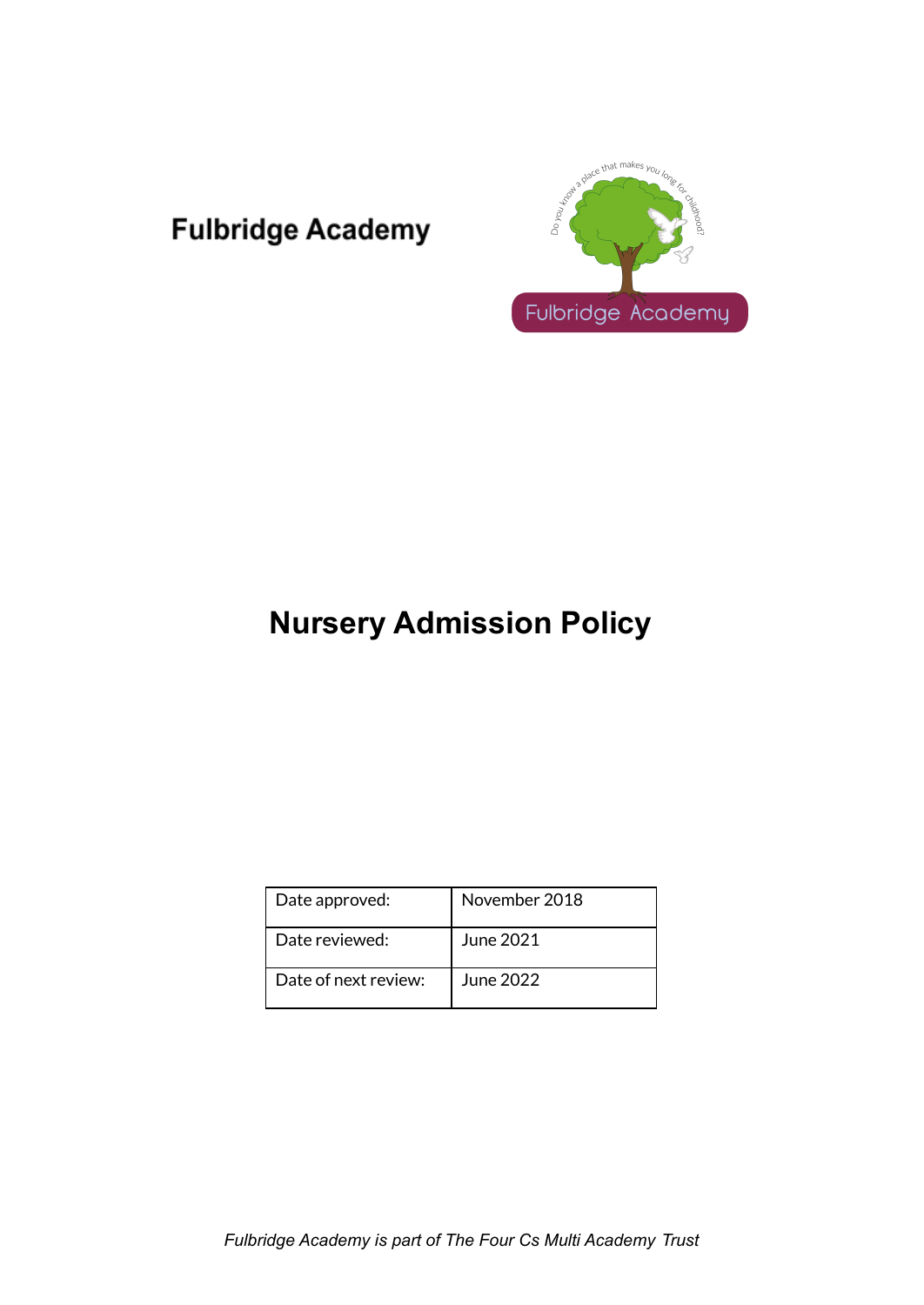## **Fulbridge Academy**



# **Nursery Admission Policy**

| Date approved:       | November 2018 |
|----------------------|---------------|
| Date reviewed:       | June 2021     |
| Date of next review: | June 2022     |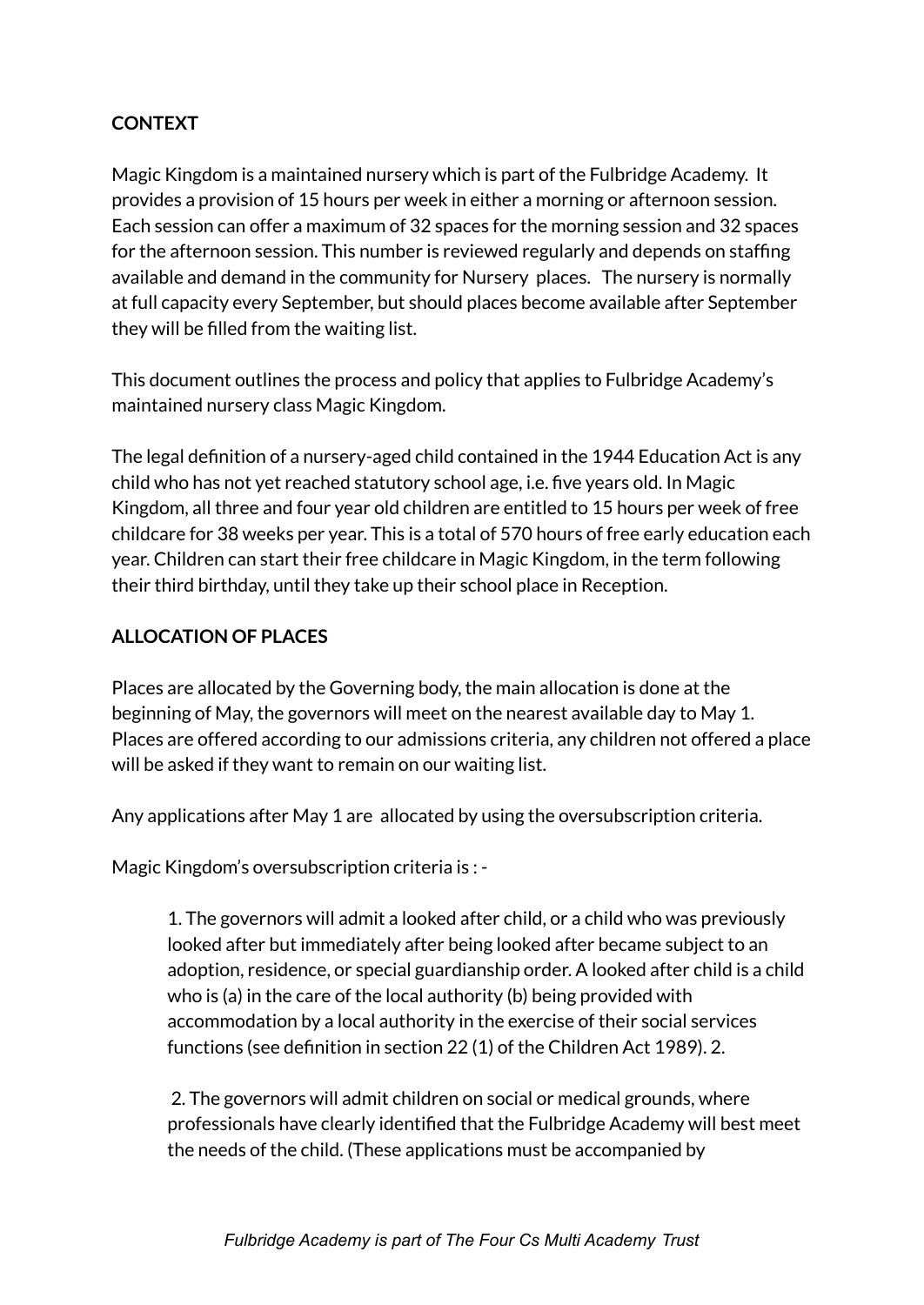### **CONTEXT**

Magic Kingdom is a maintained nursery which is part of the Fulbridge Academy. It provides a provision of 15 hours per week in either a morning or afternoon session. Each session can offer a maximum of 32 spaces for the morning session and 32 spaces for the afternoon session. This number is reviewed regularly and depends on staffing available and demand in the community for Nursery places. The nursery is normally at full capacity every September, but should places become available after September they will be filled from the waiting list.

This document outlines the process and policy that applies to Fulbridge Academy's maintained nursery class Magic Kingdom.

The legal definition of a nursery-aged child contained in the 1944 Education Act is any child who has not yet reached statutory school age, i.e. five years old. In Magic Kingdom, all three and four year old children are entitled to 15 hours per week of free childcare for 38 weeks per year. This is a total of 570 hours of free early education each year. Children can start their free childcare in Magic Kingdom, in the term following their third birthday, until they take up their school place in Reception.

#### **ALLOCATION OF PLACES**

Places are allocated by the Governing body, the main allocation is done at the beginning of May, the governors will meet on the nearest available day to May 1. Places are offered according to our admissions criteria, any children not offered a place will be asked if they want to remain on our waiting list.

Any applications after May 1 are allocated by using the oversubscription criteria.

Magic Kingdom's oversubscription criteria is : -

1. The governors will admit a looked after child, or a child who was previously looked after but immediately after being looked after became subject to an adoption, residence, or special guardianship order. A looked after child is a child who is (a) in the care of the local authority (b) being provided with accommodation by a local authority in the exercise of their social services functions (see definition in section 22 (1) of the Children Act 1989). 2.

2. The governors will admit children on social or medical grounds, where professionals have clearly identified that the Fulbridge Academy will best meet the needs of the child. (These applications must be accompanied by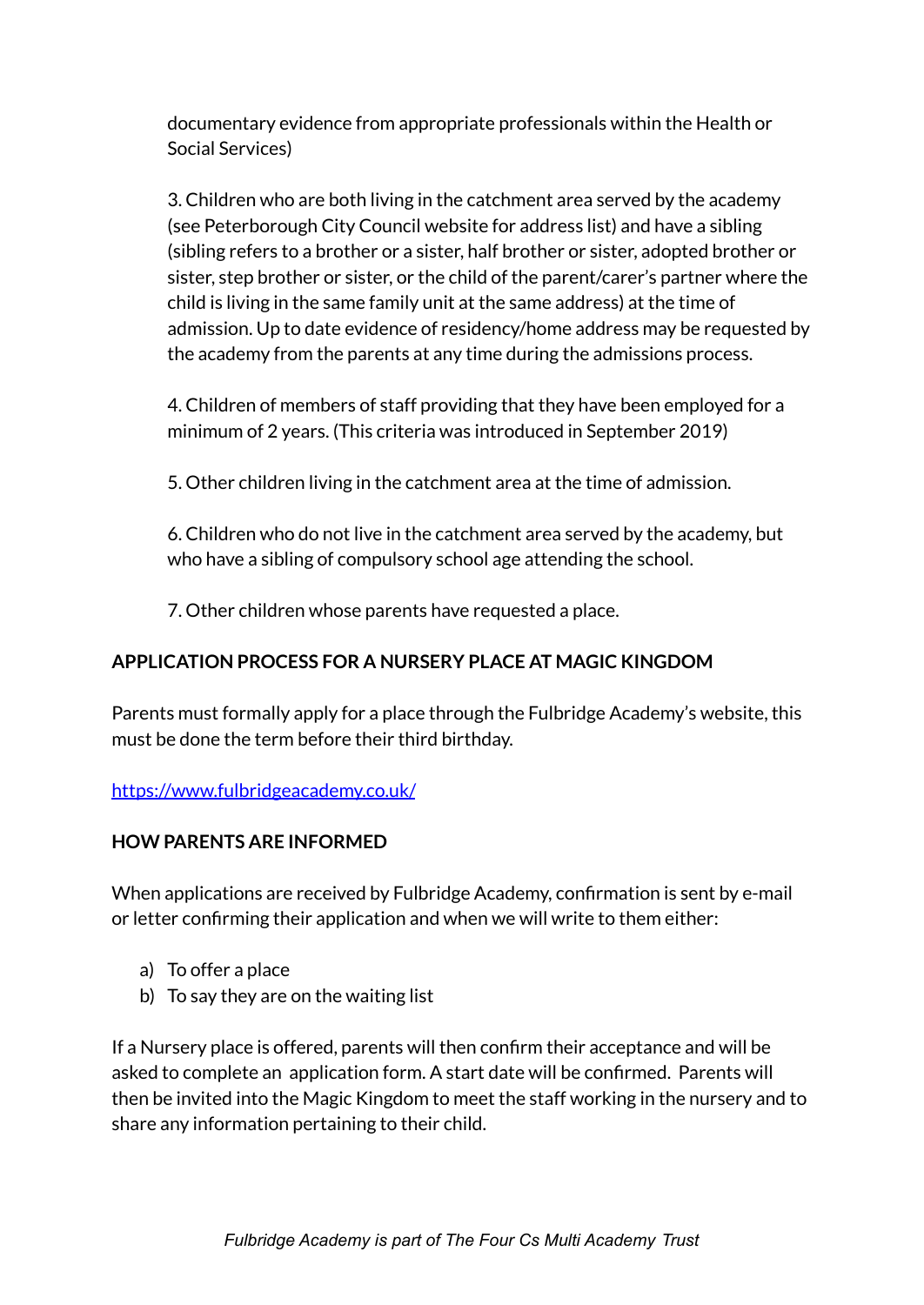documentary evidence from appropriate professionals within the Health or Social Services)

3. Children who are both living in the catchment area served by the academy (see Peterborough City Council website for address list) and have a sibling (sibling refers to a brother or a sister, half brother or sister, adopted brother or sister, step brother or sister, or the child of the parent/carer's partner where the child is living in the same family unit at the same address) at the time of admission. Up to date evidence of residency/home address may be requested by the academy from the parents at any time during the admissions process.

4. Children of members of staff providing that they have been employed for a minimum of 2 years. (This criteria was introduced in September 2019)

5. Other children living in the catchment area at the time of admission.

6. Children who do not live in the catchment area served by the academy, but who have a sibling of compulsory school age attending the school.

7. Other children whose parents have requested a place.

## **APPLICATION PROCESS FOR A NURSERY PLACE AT MAGIC KINGDOM**

Parents must formally apply for a place through the Fulbridge Academy's website, this must be done the term before their third birthday.

<https://www.fulbridgeacademy.co.uk/>

#### **HOW PARENTS ARE INFORMED**

When applications are received by Fulbridge Academy, confirmation is sent by e-mail or letter confirming their application and when we will write to them either:

- a) To offer a place
- b) To say they are on the waiting list

If a Nursery place is offered, parents will then confirm their acceptance and will be asked to complete an application form. A start date will be confirmed. Parents will then be invited into the Magic Kingdom to meet the staff working in the nursery and to share any information pertaining to their child.